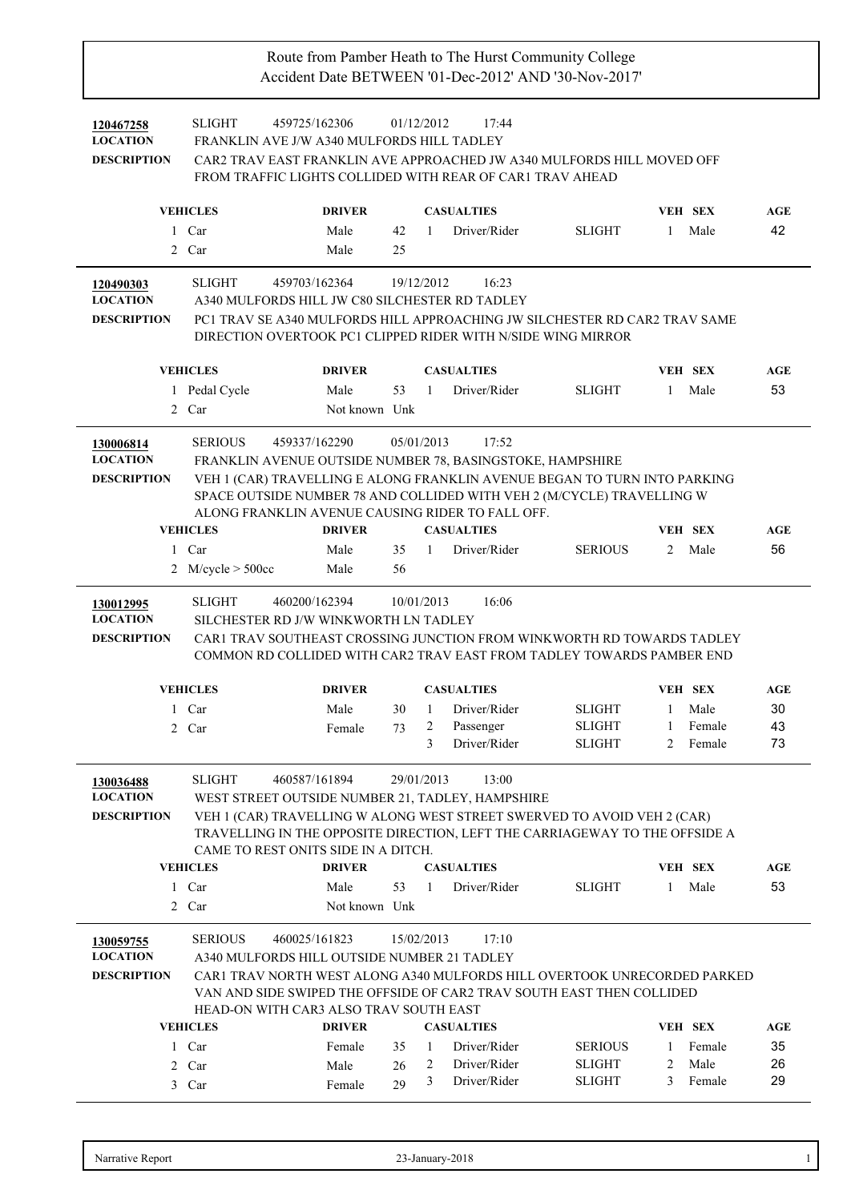| 120467258<br><b>LOCATION</b><br><b>DESCRIPTION</b> | <b>SLIGHT</b><br>FRANKLIN AVE J/W A340 MULFORDS HILL TADLEY                                                                                   | 459725/162306                                           | 01/12/2012             |              | 17:44<br>CAR2 TRAV EAST FRANKLIN AVE APPROACHED JW A340 MULFORDS HILL MOVED OFF<br>FROM TRAFFIC LIGHTS COLLIDED WITH REAR OF CAR1 TRAV AHEAD                                                                                                                   |                                                 |                        |                                     |                       |
|----------------------------------------------------|-----------------------------------------------------------------------------------------------------------------------------------------------|---------------------------------------------------------|------------------------|--------------|----------------------------------------------------------------------------------------------------------------------------------------------------------------------------------------------------------------------------------------------------------------|-------------------------------------------------|------------------------|-------------------------------------|-----------------------|
|                                                    | <b>VEHICLES</b>                                                                                                                               | <b>DRIVER</b>                                           |                        |              | <b>CASUALTIES</b>                                                                                                                                                                                                                                              |                                                 |                        | <b>VEH SEX</b>                      | AGE                   |
| $\mathbf{1}$                                       | Car                                                                                                                                           | Male                                                    | 42                     | 1            | Driver/Rider                                                                                                                                                                                                                                                   | <b>SLIGHT</b>                                   | $\mathbf{1}$           | Male                                | 42                    |
|                                                    | 2 Car                                                                                                                                         | Male                                                    | 25                     |              |                                                                                                                                                                                                                                                                |                                                 |                        |                                     |                       |
|                                                    |                                                                                                                                               |                                                         |                        |              |                                                                                                                                                                                                                                                                |                                                 |                        |                                     |                       |
| 120490303<br><b>LOCATION</b><br><b>DESCRIPTION</b> | <b>SLIGHT</b><br>A340 MULFORDS HILL JW C80 SILCHESTER RD TADLEY                                                                               | 459703/162364                                           |                        | 19/12/2012   | 16:23<br>PC1 TRAV SE A340 MULFORDS HILL APPROACHING JW SILCHESTER RD CAR2 TRAV SAME<br>DIRECTION OVERTOOK PC1 CLIPPED RIDER WITH N/SIDE WING MIRROR                                                                                                            |                                                 |                        |                                     |                       |
|                                                    | <b>VEHICLES</b>                                                                                                                               | <b>DRIVER</b>                                           |                        |              | <b>CASUALTIES</b>                                                                                                                                                                                                                                              |                                                 |                        | <b>VEH SEX</b>                      | AGE                   |
|                                                    | 1 Pedal Cycle                                                                                                                                 | Male                                                    | 53                     | $\mathbf{1}$ | Driver/Rider                                                                                                                                                                                                                                                   | <b>SLIGHT</b>                                   | $\mathbf{1}$           | Male                                | 53                    |
|                                                    | 2 Car                                                                                                                                         | Not known Unk                                           |                        |              |                                                                                                                                                                                                                                                                |                                                 |                        |                                     |                       |
| 130006814<br><b>LOCATION</b><br><b>DESCRIPTION</b> | <b>SERIOUS</b><br>ALONG FRANKLIN AVENUE CAUSING RIDER TO FALL OFF.<br><b>VEHICLES</b><br>1 Car                                                | 459337/162290<br><b>DRIVER</b><br>Male                  | 05/01/2013<br>35       | 1            | 17:52<br>FRANKLIN AVENUE OUTSIDE NUMBER 78, BASINGSTOKE, HAMPSHIRE<br>VEH 1 (CAR) TRAVELLING E ALONG FRANKLIN AVENUE BEGAN TO TURN INTO PARKING<br>SPACE OUTSIDE NUMBER 78 AND COLLIDED WITH VEH 2 (M/CYCLE) TRAVELLING W<br><b>CASUALTIES</b><br>Driver/Rider | <b>SERIOUS</b>                                  | 2                      | <b>VEH SEX</b><br>Male              | AGE<br>56             |
| 2                                                  | M/cycle > 500cc                                                                                                                               | Male                                                    | 56                     |              |                                                                                                                                                                                                                                                                |                                                 |                        |                                     |                       |
| 130012995<br><b>LOCATION</b><br><b>DESCRIPTION</b> | <b>SLIGHT</b><br>SILCHESTER RD J/W WINKWORTH LN TADLEY<br><b>VEHICLES</b><br>1 Car<br>2 Car                                                   | 460200/162394<br><b>DRIVER</b><br>Male<br>Female        | 10/01/2013<br>30<br>73 | -1<br>2<br>3 | 16:06<br>CAR1 TRAV SOUTHEAST CROSSING JUNCTION FROM WINKWORTH RD TOWARDS TADLEY<br>COMMON RD COLLIDED WITH CAR2 TRAV EAST FROM TADLEY TOWARDS PAMBER END<br><b>CASUALTIES</b><br>Driver/Rider<br>Passenger<br>Driver/Rider                                     | <b>SLIGHT</b><br><b>SLIGHT</b><br><b>SLIGHT</b> | $\mathbf{1}$<br>1<br>2 | VEH SEX<br>Male<br>Female<br>Female | AGE<br>30<br>43<br>73 |
| 130036488<br><b>LOCATION</b><br><b>DESCRIPTION</b> | <b>SLIGHT</b><br>WEST STREET OUTSIDE NUMBER 21, TADLEY, HAMPSHIRE<br>CAME TO REST ONITS SIDE IN A DITCH.<br><b>VEHICLES</b><br>1 Car<br>2 Car | 460587/161894<br><b>DRIVER</b><br>Male<br>Not known Unk | 29/01/2013<br>53       | $\mathbf{1}$ | 13:00<br>VEH 1 (CAR) TRAVELLING W ALONG WEST STREET SWERVED TO AVOID VEH 2 (CAR)<br>TRAVELLING IN THE OPPOSITE DIRECTION, LEFT THE CARRIAGEWAY TO THE OFFSIDE A<br><b>CASUALTIES</b><br>Driver/Rider                                                           | <b>SLIGHT</b>                                   | $\mathbf{1}$           | VEH SEX<br>Male                     | AGE<br>53             |
| 130059755                                          | <b>SERIOUS</b>                                                                                                                                | 460025/161823                                           | 15/02/2013             |              | 17:10                                                                                                                                                                                                                                                          |                                                 |                        |                                     |                       |
| <b>LOCATION</b><br><b>DESCRIPTION</b>              | A340 MULFORDS HILL OUTSIDE NUMBER 21 TADLEY                                                                                                   |                                                         |                        |              | CAR1 TRAV NORTH WEST ALONG A340 MULFORDS HILL OVERTOOK UNRECORDED PARKED                                                                                                                                                                                       |                                                 |                        |                                     |                       |
|                                                    | VAN AND SIDE SWIPED THE OFFSIDE OF CAR2 TRAV SOUTH EAST THEN COLLIDED<br>HEAD-ON WITH CAR3 ALSO TRAV SOUTH EAST                               |                                                         |                        |              |                                                                                                                                                                                                                                                                |                                                 |                        |                                     |                       |
|                                                    | <b>VEHICLES</b>                                                                                                                               | <b>DRIVER</b>                                           |                        |              | <b>CASUALTIES</b>                                                                                                                                                                                                                                              |                                                 |                        | VEH SEX                             | AGE                   |
|                                                    | 1 Car                                                                                                                                         | Female                                                  | 35                     | 1            | Driver/Rider                                                                                                                                                                                                                                                   | <b>SERIOUS</b>                                  | $\mathbf{1}$           | Female                              | 35                    |
|                                                    | 2 Car<br>3 Car                                                                                                                                | Male<br>Female                                          | 26<br>29               | 2<br>3       | Driver/Rider<br>Driver/Rider                                                                                                                                                                                                                                   | <b>SLIGHT</b><br><b>SLIGHT</b>                  | 2<br>3                 | Male<br>Female                      | 26<br>29              |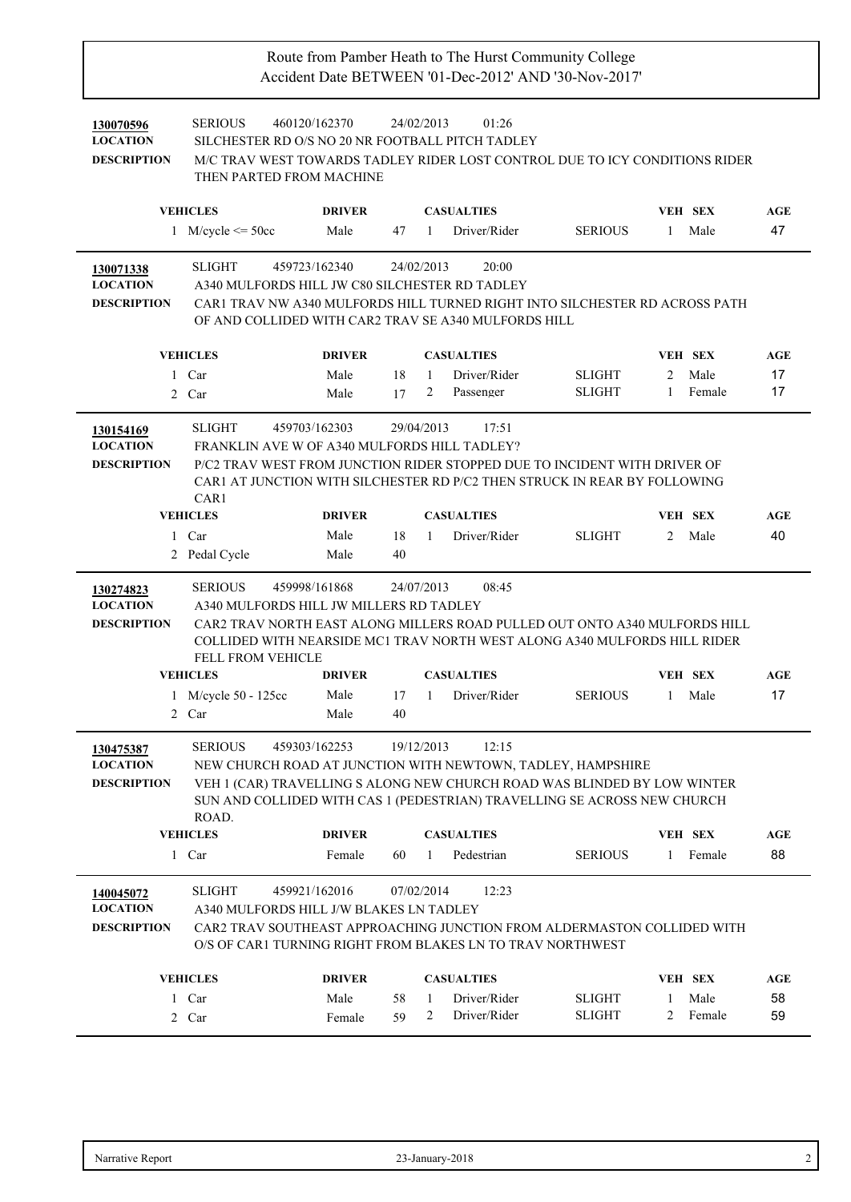| 130070596<br><b>LOCATION</b><br><b>DESCRIPTION</b> | <b>SERIOUS</b><br>SILCHESTER RD O/S NO 20 NR FOOTBALL PITCH TADLEY<br>M/C TRAV WEST TOWARDS TADLEY RIDER LOST CONTROL DUE TO ICY CONDITIONS RIDER<br>THEN PARTED FROM MACHINE                                                                  | 460120/162370 |            | 24/02/2013   | 01:26             |                |              |                |     |
|----------------------------------------------------|------------------------------------------------------------------------------------------------------------------------------------------------------------------------------------------------------------------------------------------------|---------------|------------|--------------|-------------------|----------------|--------------|----------------|-----|
|                                                    | <b>VEHICLES</b>                                                                                                                                                                                                                                | <b>DRIVER</b> |            |              | <b>CASUALTIES</b> |                |              | <b>VEH SEX</b> | AGE |
|                                                    | 1 M/cycle $\leq$ 50cc                                                                                                                                                                                                                          | Male          | 47         | $\mathbf{1}$ | Driver/Rider      | <b>SERIOUS</b> | 1            | Male           | 47  |
| 130071338<br><b>LOCATION</b><br><b>DESCRIPTION</b> | <b>SLIGHT</b><br>A340 MULFORDS HILL JW C80 SILCHESTER RD TADLEY<br>CAR1 TRAV NW A340 MULFORDS HILL TURNED RIGHT INTO SILCHESTER RD ACROSS PATH<br>OF AND COLLIDED WITH CAR2 TRAV SE A340 MULFORDS HILL                                         | 459723/162340 |            | 24/02/2013   | 20:00             |                |              |                |     |
|                                                    | <b>VEHICLES</b>                                                                                                                                                                                                                                | <b>DRIVER</b> |            |              | <b>CASUALTIES</b> |                |              | <b>VEH SEX</b> | AGE |
|                                                    | 1 Car                                                                                                                                                                                                                                          | Male          | 18         | $\mathbf{1}$ | Driver/Rider      | <b>SLIGHT</b>  | 2            | Male           | 17  |
|                                                    | 2 Car                                                                                                                                                                                                                                          | Male          | 17         | 2            | Passenger         | <b>SLIGHT</b>  | $\mathbf{1}$ | Female         | 17  |
| 130154169<br><b>LOCATION</b><br><b>DESCRIPTION</b> | <b>SLIGHT</b><br>FRANKLIN AVE W OF A340 MULFORDS HILL TADLEY?<br>P/C2 TRAV WEST FROM JUNCTION RIDER STOPPED DUE TO INCIDENT WITH DRIVER OF<br>CAR1 AT JUNCTION WITH SILCHESTER RD P/C2 THEN STRUCK IN REAR BY FOLLOWING<br>CAR <sub>1</sub>    | 459703/162303 |            | 29/04/2013   | 17:51             |                |              |                |     |
|                                                    | <b>VEHICLES</b>                                                                                                                                                                                                                                | <b>DRIVER</b> |            |              | <b>CASUALTIES</b> |                |              | VEH SEX        | AGE |
|                                                    | 1 Car                                                                                                                                                                                                                                          | Male          | 18         | $\mathbf{1}$ | Driver/Rider      | <b>SLIGHT</b>  | 2            | Male           | 40  |
|                                                    | 2 Pedal Cycle                                                                                                                                                                                                                                  | Male          | 40         |              |                   |                |              |                |     |
| 130274823                                          | <b>SERIOUS</b>                                                                                                                                                                                                                                 | 459998/161868 | 24/07/2013 |              | 08:45             |                |              |                |     |
| <b>LOCATION</b><br><b>DESCRIPTION</b>              | A340 MULFORDS HILL JW MILLERS RD TADLEY<br>CAR2 TRAV NORTH EAST ALONG MILLERS ROAD PULLED OUT ONTO A340 MULFORDS HILL<br>COLLIDED WITH NEARSIDE MC1 TRAV NORTH WEST ALONG A340 MULFORDS HILL RIDER<br>FELL FROM VEHICLE<br><b>VEHICLES</b>     | <b>DRIVER</b> |            |              | <b>CASUALTIES</b> |                |              | <b>VEH SEX</b> | AGE |
|                                                    |                                                                                                                                                                                                                                                | Male          | 17         | 1            | Driver/Rider      | <b>SERIOUS</b> | $\mathbf{1}$ | Male           | 17  |
|                                                    | 1 M/cycle 50 - 125cc<br>2 Car                                                                                                                                                                                                                  | Male          | 40         |              |                   |                |              |                |     |
| 130475387<br><b>LOCATION</b><br><b>DESCRIPTION</b> | <b>SERIOUS</b><br>NEW CHURCH ROAD AT JUNCTION WITH NEWTOWN, TADLEY, HAMPSHIRE<br>VEH 1 (CAR) TRAVELLING S ALONG NEW CHURCH ROAD WAS BLINDED BY LOW WINTER<br>SUN AND COLLIDED WITH CAS 1 (PEDESTRIAN) TRAVELLING SE ACROSS NEW CHURCH<br>ROAD. | 459303/162253 |            | 19/12/2013   | 12:15             |                |              |                |     |
|                                                    | <b>VEHICLES</b>                                                                                                                                                                                                                                | <b>DRIVER</b> |            |              | <b>CASUALTIES</b> |                |              | VEH SEX        | AGE |
|                                                    | 1 Car                                                                                                                                                                                                                                          | Female        | 60         | 1            | Pedestrian        | <b>SERIOUS</b> | 1            | Female         | 88  |
| 140045072<br><b>LOCATION</b><br><b>DESCRIPTION</b> | <b>SLIGHT</b><br>A340 MULFORDS HILL J/W BLAKES LN TADLEY<br>CAR2 TRAV SOUTHEAST APPROACHING JUNCTION FROM ALDERMASTON COLLIDED WITH<br>O/S OF CAR1 TURNING RIGHT FROM BLAKES LN TO TRAV NORTHWEST                                              | 459921/162016 |            | 07/02/2014   | 12:23             |                |              |                |     |
|                                                    | <b>VEHICLES</b>                                                                                                                                                                                                                                | <b>DRIVER</b> |            |              | <b>CASUALTIES</b> |                |              | VEH SEX        | AGE |
|                                                    | 1 Car                                                                                                                                                                                                                                          | Male          | 58         | 1            | Driver/Rider      | <b>SLIGHT</b>  | 1            | Male           | 58  |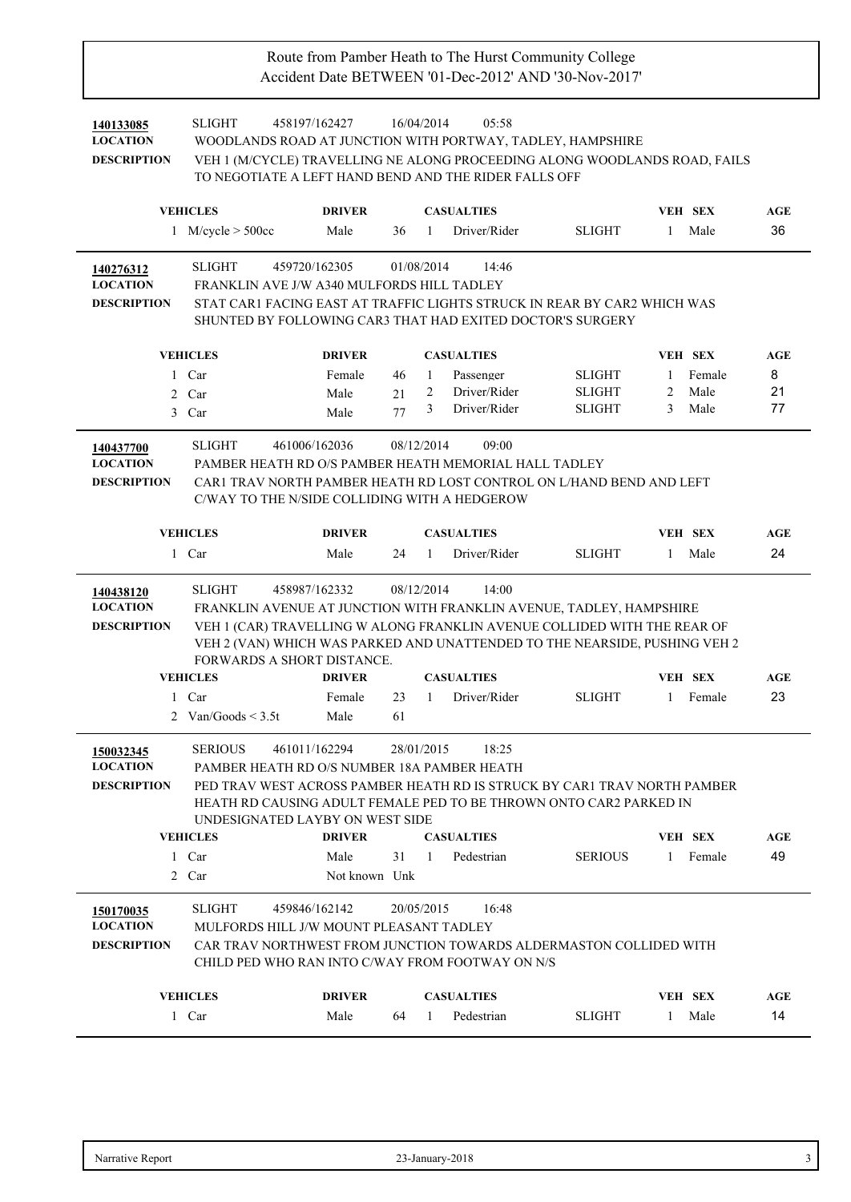| 140133085<br><b>LOCATION</b><br><b>DESCRIPTION</b> | <b>SLIGHT</b><br>458197/162427<br>WOODLANDS ROAD AT JUNCTION WITH PORTWAY, TADLEY, HAMPSHIRE<br>VEH 1 (M/CYCLE) TRAVELLING NE ALONG PROCEEDING ALONG WOODLANDS ROAD, FAILS<br>TO NEGOTIATE A LEFT HAND BEND AND THE RIDER FALLS OFF                                                                                              |                                        | 16/04/2014       |              | 05:58                                      |                |              |                          |           |
|----------------------------------------------------|----------------------------------------------------------------------------------------------------------------------------------------------------------------------------------------------------------------------------------------------------------------------------------------------------------------------------------|----------------------------------------|------------------|--------------|--------------------------------------------|----------------|--------------|--------------------------|-----------|
|                                                    | <b>VEHICLES</b>                                                                                                                                                                                                                                                                                                                  | <b>DRIVER</b>                          |                  |              | <b>CASUALTIES</b>                          |                |              | <b>VEH SEX</b>           | AGE       |
|                                                    | 1 M/cycle $> 500cc$                                                                                                                                                                                                                                                                                                              | Male                                   | 36               | $\mathbf{1}$ | Driver/Rider                               | <b>SLIGHT</b>  | 1            | Male                     | 36        |
|                                                    |                                                                                                                                                                                                                                                                                                                                  |                                        |                  |              |                                            |                |              |                          |           |
| 140276312<br><b>LOCATION</b><br><b>DESCRIPTION</b> | <b>SLIGHT</b><br>459720/162305<br>FRANKLIN AVE J/W A340 MULFORDS HILL TADLEY<br>STAT CAR1 FACING EAST AT TRAFFIC LIGHTS STRUCK IN REAR BY CAR2 WHICH WAS<br>SHUNTED BY FOLLOWING CAR3 THAT HAD EXITED DOCTOR'S SURGERY                                                                                                           |                                        | 01/08/2014       |              | 14:46                                      |                |              |                          |           |
|                                                    | <b>VEHICLES</b>                                                                                                                                                                                                                                                                                                                  | <b>DRIVER</b>                          |                  |              | <b>CASUALTIES</b>                          |                |              | <b>VEH SEX</b>           | AGE       |
|                                                    | 1 Car                                                                                                                                                                                                                                                                                                                            | Female                                 | 46               | 1            | Passenger                                  | <b>SLIGHT</b>  | 1            | Female                   | 8         |
|                                                    | 2 Car                                                                                                                                                                                                                                                                                                                            | Male                                   | 21               | 2            | Driver/Rider                               | <b>SLIGHT</b>  | 2            | Male                     | 21        |
|                                                    | 3 Car                                                                                                                                                                                                                                                                                                                            | Male                                   | 77               | 3            | Driver/Rider                               | <b>SLIGHT</b>  | 3            | Male                     | 77        |
| 140437700<br><b>LOCATION</b><br><b>DESCRIPTION</b> | <b>SLIGHT</b><br>461006/162036<br>PAMBER HEATH RD O/S PAMBER HEATH MEMORIAL HALL TADLEY<br>CAR1 TRAV NORTH PAMBER HEATH RD LOST CONTROL ON L/HAND BEND AND LEFT<br>C/WAY TO THE N/SIDE COLLIDING WITH A HEDGEROW                                                                                                                 |                                        | 08/12/2014       |              | 09:00                                      |                |              |                          |           |
|                                                    | <b>VEHICLES</b>                                                                                                                                                                                                                                                                                                                  | <b>DRIVER</b>                          |                  |              | <b>CASUALTIES</b>                          |                |              | <b>VEH SEX</b>           | AGE       |
|                                                    | 1 Car                                                                                                                                                                                                                                                                                                                            | Male                                   | 24               | $\mathbf{1}$ | Driver/Rider                               | <b>SLIGHT</b>  | -1           | Male                     | 24        |
| 140438120<br><b>LOCATION</b><br><b>DESCRIPTION</b> | <b>SLIGHT</b><br>458987/162332<br>FRANKLIN AVENUE AT JUNCTION WITH FRANKLIN AVENUE, TADLEY, HAMPSHIRE<br>VEH 1 (CAR) TRAVELLING W ALONG FRANKLIN AVENUE COLLIDED WITH THE REAR OF<br>VEH 2 (VAN) WHICH WAS PARKED AND UNATTENDED TO THE NEARSIDE, PUSHING VEH 2<br><b>FORWARDS A SHORT DISTANCE.</b><br><b>VEHICLES</b><br>1 Car | <b>DRIVER</b><br>Female                | 08/12/2014<br>23 | 1            | 14:00<br><b>CASUALTIES</b><br>Driver/Rider | <b>SLIGHT</b>  | 1            | <b>VEH SEX</b><br>Female | AGE<br>23 |
|                                                    | 2 Van/Goods $\leq$ 3.5t                                                                                                                                                                                                                                                                                                          | Male                                   | 61               |              |                                            |                |              |                          |           |
| 150032345                                          |                                                                                                                                                                                                                                                                                                                                  |                                        |                  |              |                                            |                |              |                          |           |
| <b>LOCATION</b><br><b>DESCRIPTION</b>              | SERIOUS 461011/162294<br>PAMBER HEATH RD O/S NUMBER 18A PAMBER HEATH<br>PED TRAV WEST ACROSS PAMBER HEATH RD IS STRUCK BY CAR1 TRAV NORTH PAMBER<br>HEATH RD CAUSING ADULT FEMALE PED TO BE THROWN ONTO CAR2 PARKED IN<br>UNDESIGNATED LAYBY ON WEST SIDE<br><b>VEHICLES</b><br>1 Car<br>2 Car                                   | <b>DRIVER</b><br>Male<br>Not known Unk | 28/01/2015<br>31 | 1            | 18:25<br><b>CASUALTIES</b><br>Pedestrian   | <b>SERIOUS</b> |              | VEH SEX<br>1 Female      | AGE<br>49 |
| 150170035<br><b>LOCATION</b><br><b>DESCRIPTION</b> | <b>SLIGHT</b><br>459846/162142<br>MULFORDS HILL J/W MOUNT PLEASANT TADLEY<br>CAR TRAV NORTHWEST FROM JUNCTION TOWARDS ALDERMASTON COLLIDED WITH<br>CHILD PED WHO RAN INTO C/WAY FROM FOOTWAY ON N/S<br><b>VEHICLES</b><br>1 Car                                                                                                  | <b>DRIVER</b><br>Male                  | 20/05/2015<br>64 | -1           | 16:48<br><b>CASUALTIES</b><br>Pedestrian   | <b>SLIGHT</b>  | $\mathbf{1}$ | <b>VEH SEX</b><br>Male   | AGE<br>14 |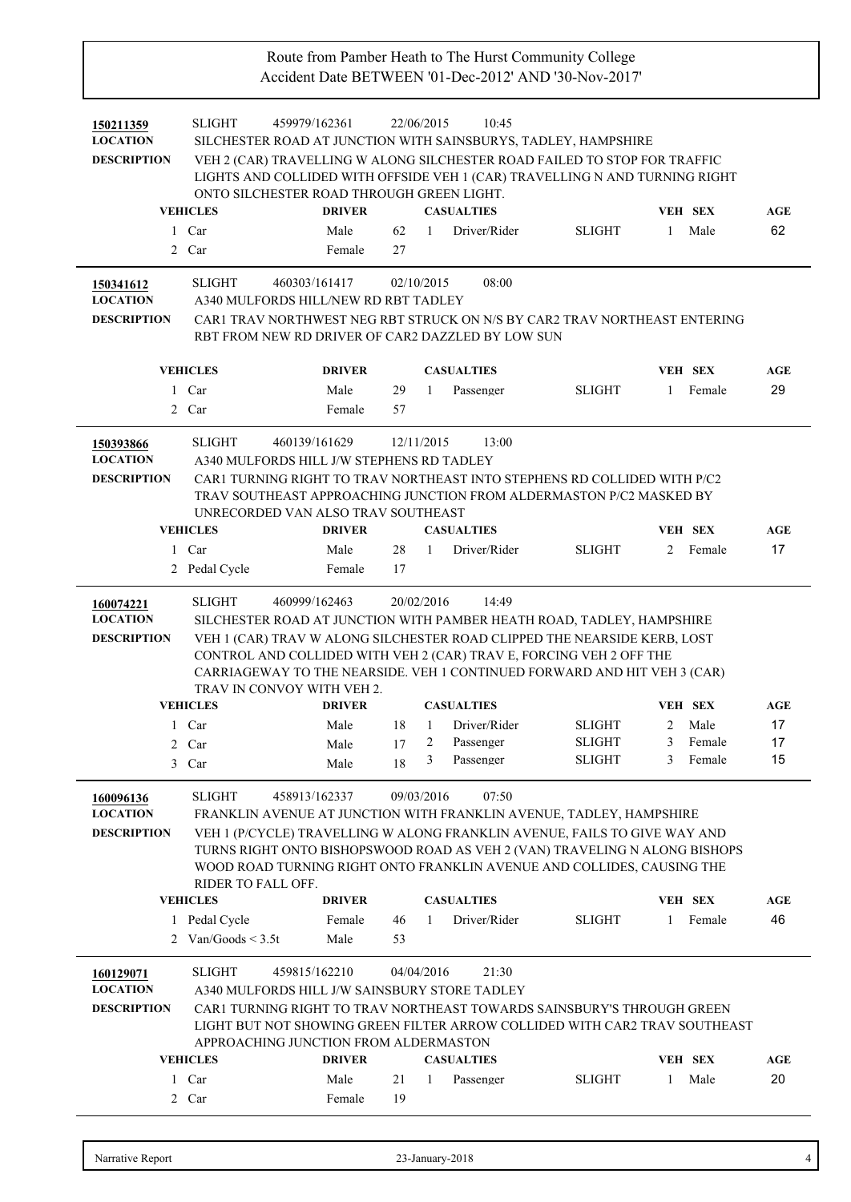| 150211359                    | <b>SLIGHT</b>                                                                                          | 459979/162361  |          | 22/06/2015                | 10:45        |               |              |                |     |
|------------------------------|--------------------------------------------------------------------------------------------------------|----------------|----------|---------------------------|--------------|---------------|--------------|----------------|-----|
| <b>LOCATION</b>              | SILCHESTER ROAD AT JUNCTION WITH SAINSBURYS, TADLEY, HAMPSHIRE                                         |                |          |                           |              |               |              |                |     |
| <b>DESCRIPTION</b>           | VEH 2 (CAR) TRAVELLING W ALONG SILCHESTER ROAD FAILED TO STOP FOR TRAFFIC                              |                |          |                           |              |               |              |                |     |
|                              | LIGHTS AND COLLIDED WITH OFFSIDE VEH 1 (CAR) TRAVELLING N AND TURNING RIGHT                            |                |          |                           |              |               |              |                |     |
|                              | ONTO SILCHESTER ROAD THROUGH GREEN LIGHT.                                                              |                |          |                           |              |               |              |                |     |
|                              | <b>VEHICLES</b>                                                                                        | <b>DRIVER</b>  |          | <b>CASUALTIES</b>         |              |               |              | <b>VEH SEX</b> | AGE |
|                              | 1 Car                                                                                                  | Male           | 62       | $\overline{1}$            | Driver/Rider | <b>SLIGHT</b> | $\mathbf{1}$ | Male           | 62  |
|                              | 2 Car                                                                                                  | Female         | 27       |                           |              |               |              |                |     |
| 150341612                    | <b>SLIGHT</b>                                                                                          | 460303/161417  |          | 02/10/2015                | 08:00        |               |              |                |     |
| <b>LOCATION</b>              | A340 MULFORDS HILL/NEW RD RBT TADLEY                                                                   |                |          |                           |              |               |              |                |     |
| <b>DESCRIPTION</b>           | CAR1 TRAV NORTHWEST NEG RBT STRUCK ON N/S BY CAR2 TRAV NORTHEAST ENTERING                              |                |          |                           |              |               |              |                |     |
|                              | RBT FROM NEW RD DRIVER OF CAR2 DAZZLED BY LOW SUN                                                      |                |          |                           |              |               |              |                |     |
|                              | <b>VEHICLES</b>                                                                                        | <b>DRIVER</b>  |          | <b>CASUALTIES</b>         |              |               |              | <b>VEH SEX</b> | AGE |
|                              | 1 Car                                                                                                  | Male           | 29       | $\mathbf{1}$<br>Passenger |              | <b>SLIGHT</b> | -1           | Female         | 29  |
|                              | 2 Car                                                                                                  | Female         | 57       |                           |              |               |              |                |     |
| 150393866                    | <b>SLIGHT</b>                                                                                          | 460139/161629  |          | 12/11/2015                | 13:00        |               |              |                |     |
| <b>LOCATION</b>              | A340 MULFORDS HILL J/W STEPHENS RD TADLEY                                                              |                |          |                           |              |               |              |                |     |
| <b>DESCRIPTION</b>           | CAR1 TURNING RIGHT TO TRAV NORTHEAST INTO STEPHENS RD COLLIDED WITH P/C2                               |                |          |                           |              |               |              |                |     |
|                              | TRAV SOUTHEAST APPROACHING JUNCTION FROM ALDERMASTON P/C2 MASKED BY                                    |                |          |                           |              |               |              |                |     |
|                              | UNRECORDED VAN ALSO TRAV SOUTHEAST                                                                     |                |          |                           |              |               |              |                |     |
|                              | <b>VEHICLES</b>                                                                                        | <b>DRIVER</b>  |          | <b>CASUALTIES</b>         |              |               |              | <b>VEH SEX</b> | AGE |
|                              | 1 Car                                                                                                  | Male           | 28       | -1                        | Driver/Rider | <b>SLIGHT</b> |              | 2 Female       | 17  |
|                              | 2 Pedal Cycle                                                                                          | Female         | 17       |                           |              |               |              |                |     |
| 160074221                    | <b>SLIGHT</b>                                                                                          | 460999/162463  |          | 20/02/2016                | 14:49        |               |              |                |     |
| <b>LOCATION</b>              | SILCHESTER ROAD AT JUNCTION WITH PAMBER HEATH ROAD, TADLEY, HAMPSHIRE                                  |                |          |                           |              |               |              |                |     |
| <b>DESCRIPTION</b>           | VEH 1 (CAR) TRAV W ALONG SILCHESTER ROAD CLIPPED THE NEARSIDE KERB, LOST                               |                |          |                           |              |               |              |                |     |
|                              | CONTROL AND COLLIDED WITH VEH 2 (CAR) TRAV E, FORCING VEH 2 OFF THE                                    |                |          |                           |              |               |              |                |     |
|                              | CARRIAGEWAY TO THE NEARSIDE. VEH 1 CONTINUED FORWARD AND HIT VEH 3 (CAR)<br>TRAV IN CONVOY WITH VEH 2. |                |          |                           |              |               |              |                |     |
|                              | <b>VEHICLES</b>                                                                                        | <b>DRIVER</b>  |          | <b>CASUALTIES</b>         |              |               |              | <b>VEH SEX</b> | AGE |
|                              | 1 Car                                                                                                  | Male           | 18       | $\mathbf{1}$              | Driver/Rider | <b>SLIGHT</b> |              | 2 Male         | 17  |
|                              | 2 Car                                                                                                  | Male           | 17       | Passenger<br>2            |              | <b>SLIGHT</b> | 3            | Female         | 17  |
|                              | 3 Car                                                                                                  | Male           | 18       | 3<br>Passenger            |              | <b>SLIGHT</b> | 3            | Female         | 15  |
|                              | <b>SLIGHT</b>                                                                                          | 458913/162337  |          | 09/03/2016                | 07:50        |               |              |                |     |
| 160096136<br><b>LOCATION</b> | FRANKLIN AVENUE AT JUNCTION WITH FRANKLIN AVENUE, TADLEY, HAMPSHIRE                                    |                |          |                           |              |               |              |                |     |
| <b>DESCRIPTION</b>           | VEH 1 (P/CYCLE) TRAVELLING W ALONG FRANKLIN AVENUE, FAILS TO GIVE WAY AND                              |                |          |                           |              |               |              |                |     |
|                              | TURNS RIGHT ONTO BISHOPSWOOD ROAD AS VEH 2 (VAN) TRAVELING N ALONG BISHOPS                             |                |          |                           |              |               |              |                |     |
|                              | WOOD ROAD TURNING RIGHT ONTO FRANKLIN AVENUE AND COLLIDES, CAUSING THE                                 |                |          |                           |              |               |              |                |     |
|                              | RIDER TO FALL OFF.                                                                                     |                |          |                           |              |               |              |                |     |
|                              | <b>VEHICLES</b>                                                                                        | <b>DRIVER</b>  |          | <b>CASUALTIES</b>         |              |               |              | <b>VEH SEX</b> | AGE |
|                              | 1 Pedal Cycle                                                                                          | Female         | 46       | $\mathbf{1}$              | Driver/Rider | <b>SLIGHT</b> | 1            | Female         | 46  |
|                              | 2 Van/Goods $\leq$ 3.5t                                                                                | Male           | 53       |                           |              |               |              |                |     |
| 160129071                    | <b>SLIGHT</b>                                                                                          | 459815/162210  |          | 04/04/2016                | 21:30        |               |              |                |     |
| <b>LOCATION</b>              | A340 MULFORDS HILL J/W SAINSBURY STORE TADLEY                                                          |                |          |                           |              |               |              |                |     |
| <b>DESCRIPTION</b>           | CAR1 TURNING RIGHT TO TRAV NORTHEAST TOWARDS SAINSBURY'S THROUGH GREEN                                 |                |          |                           |              |               |              |                |     |
|                              | LIGHT BUT NOT SHOWING GREEN FILTER ARROW COLLIDED WITH CAR2 TRAV SOUTHEAST                             |                |          |                           |              |               |              |                |     |
|                              |                                                                                                        |                |          |                           |              |               |              |                |     |
|                              | APPROACHING JUNCTION FROM ALDERMASTON                                                                  |                |          |                           |              |               |              |                |     |
|                              | <b>VEHICLES</b>                                                                                        | <b>DRIVER</b>  |          | <b>CASUALTIES</b>         |              |               |              | <b>VEH SEX</b> | AGE |
|                              | 1 Car<br>2 Car                                                                                         | Male<br>Female | 21<br>19 | 1<br>Passenger            |              | <b>SLIGHT</b> | -1           | Male           | 20  |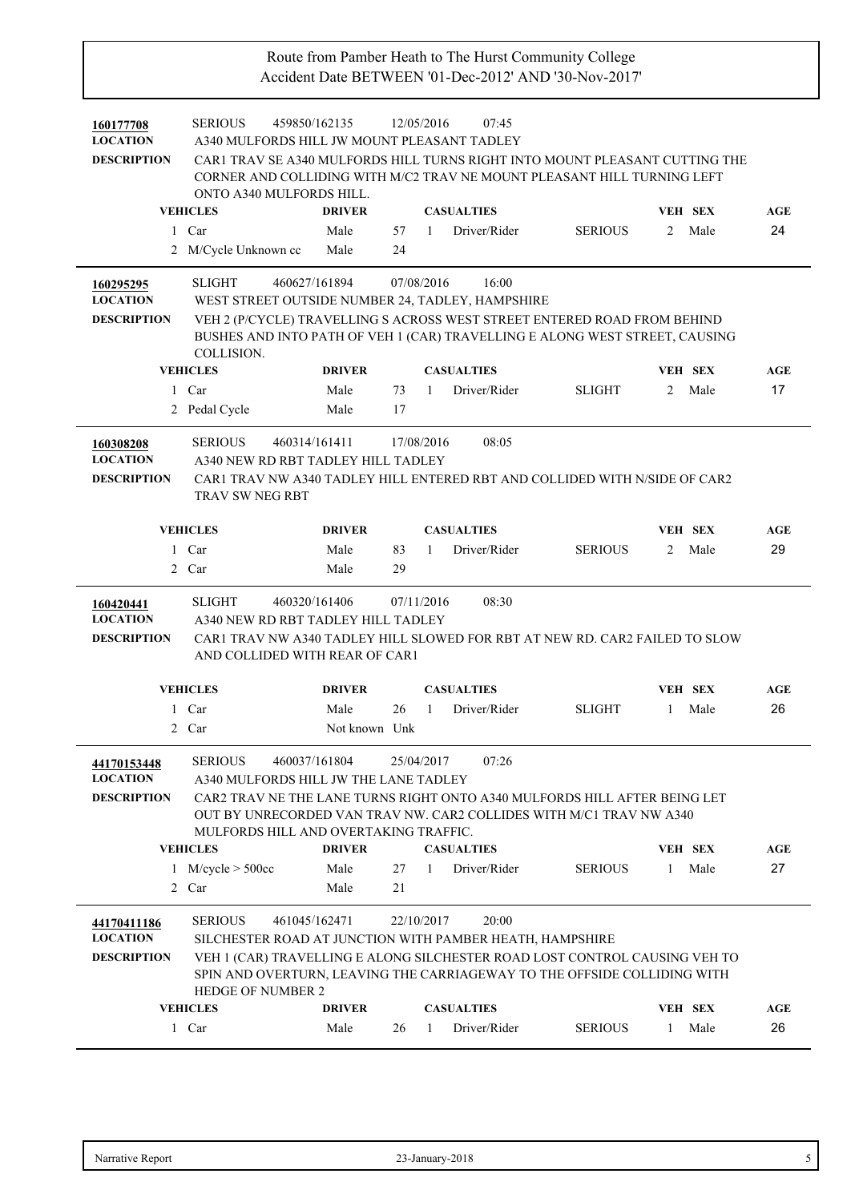| 160177708<br><b>LOCATION</b><br><b>DESCRIPTION</b>                   | 459850/162135<br><b>SERIOUS</b><br>A340 MULFORDS HILL JW MOUNT PLEASANT TADLEY<br>CAR1 TRAV SE A340 MULFORDS HILL TURNS RIGHT INTO MOUNT PLEASANT CUTTING THE<br>CORNER AND COLLIDING WITH M/C2 TRAV NE MOUNT PLEASANT HILL TURNING LEFT<br>ONTO A340 MULFORDS HILL.<br><b>VEHICLES</b>                                 | <b>DRIVER</b>                 | 12/05/2016             |              | 07:45<br><b>CASUALTIES</b>                 |                |                | <b>VEH SEX</b>  | <b>AGE</b>       |
|----------------------------------------------------------------------|-------------------------------------------------------------------------------------------------------------------------------------------------------------------------------------------------------------------------------------------------------------------------------------------------------------------------|-------------------------------|------------------------|--------------|--------------------------------------------|----------------|----------------|-----------------|------------------|
| $\mathbf{1}$                                                         | Car                                                                                                                                                                                                                                                                                                                     | Male                          | 57                     | 1            | Driver/Rider                               | <b>SERIOUS</b> | 2              | Male            | 24               |
|                                                                      | 2 M/Cycle Unknown cc                                                                                                                                                                                                                                                                                                    | Male                          | 24                     |              |                                            |                |                |                 |                  |
| 160295295<br><b>LOCATION</b><br><b>DESCRIPTION</b>                   | <b>SLIGHT</b><br>460627/161894<br>WEST STREET OUTSIDE NUMBER 24, TADLEY, HAMPSHIRE<br>VEH 2 (P/CYCLE) TRAVELLING S ACROSS WEST STREET ENTERED ROAD FROM BEHIND<br>BUSHES AND INTO PATH OF VEH 1 (CAR) TRAVELLING E ALONG WEST STREET, CAUSING<br>COLLISION.<br><b>VEHICLES</b>                                          | <b>DRIVER</b>                 | 07/08/2016             |              | 16:00<br><b>CASUALTIES</b>                 |                |                | <b>VEH SEX</b>  | AGE              |
|                                                                      |                                                                                                                                                                                                                                                                                                                         |                               |                        |              |                                            |                |                |                 |                  |
|                                                                      | 1 Car                                                                                                                                                                                                                                                                                                                   | Male                          | 73                     | $\mathbf{1}$ | Driver/Rider                               | <b>SLIGHT</b>  | $\overline{2}$ | Male            | 17               |
|                                                                      | 2 Pedal Cycle                                                                                                                                                                                                                                                                                                           | Male                          | 17                     |              |                                            |                |                |                 |                  |
| 160308208<br><b>LOCATION</b><br><b>DESCRIPTION</b>                   | <b>SERIOUS</b><br>460314/161411<br>A340 NEW RD RBT TADLEY HILL TADLEY<br>CAR1 TRAV NW A340 TADLEY HILL ENTERED RBT AND COLLIDED WITH N/SIDE OF CAR2<br><b>TRAV SW NEG RBT</b>                                                                                                                                           |                               | 17/08/2016             |              | 08:05                                      |                |                |                 |                  |
|                                                                      | <b>VEHICLES</b>                                                                                                                                                                                                                                                                                                         | <b>DRIVER</b>                 |                        |              | <b>CASUALTIES</b>                          |                |                | <b>VEH SEX</b>  | AGE              |
|                                                                      | 1 Car                                                                                                                                                                                                                                                                                                                   | Male                          | 83                     | $\mathbf{1}$ | Driver/Rider                               | <b>SERIOUS</b> | $\overline{2}$ | Male            | 29               |
| $\overline{2}$                                                       | Car                                                                                                                                                                                                                                                                                                                     | Male                          | 29                     |              |                                            |                |                |                 |                  |
| 160420441<br><b>LOCATION</b><br><b>DESCRIPTION</b>                   | 460320/161406<br><b>SLIGHT</b><br>A340 NEW RD RBT TADLEY HILL TADLEY<br>CAR1 TRAV NW A340 TADLEY HILL SLOWED FOR RBT AT NEW RD. CAR2 FAILED TO SLOW<br>AND COLLIDED WITH REAR OF CAR1                                                                                                                                   |                               | 07/11/2016             |              | 08:30                                      |                |                |                 |                  |
|                                                                      | <b>VEHICLES</b>                                                                                                                                                                                                                                                                                                         | <b>DRIVER</b>                 |                        |              | <b>CASUALTIES</b>                          |                |                | <b>VEH SEX</b>  | AGE              |
|                                                                      | 1 Car                                                                                                                                                                                                                                                                                                                   | Male                          | 26                     | $\mathbf{1}$ | Driver/Rider                               | <b>SLIGHT</b>  | $\mathbf{1}$   | Male            | 26               |
|                                                                      | 2 Car                                                                                                                                                                                                                                                                                                                   | Not known Unk                 |                        |              |                                            |                |                |                 |                  |
| 44170153448<br><b>LOCATION</b><br><b>DESCRIPTION</b><br>2            | <b>SERIOUS</b><br>460037/161804<br>A340 MULFORDS HILL JW THE LANE TADLEY<br>CAR2 TRAV NE THE LANE TURNS RIGHT ONTO A340 MULFORDS HILL AFTER BEING LET<br>OUT BY UNRECORDED VAN TRAV NW. CAR2 COLLIDES WITH M/C1 TRAV NW A340<br>MULFORDS HILL AND OVERTAKING TRAFFIC.<br><b>VEHICLES</b><br>1 M/cycle $> 500$ cc<br>Car | <b>DRIVER</b><br>Male<br>Male | 25/04/2017<br>27<br>21 | -1           | 07:26<br><b>CASUALTIES</b><br>Driver/Rider | <b>SERIOUS</b> | $\mathbf{1}$   | VEH SEX<br>Male | <b>AGE</b><br>27 |
| 44170411186<br><b>LOCATION</b><br><b>DESCRIPTION</b><br>$\mathbf{1}$ | <b>SERIOUS</b><br>461045/162471<br>SILCHESTER ROAD AT JUNCTION WITH PAMBER HEATH, HAMPSHIRE<br>VEH 1 (CAR) TRAVELLING E ALONG SILCHESTER ROAD LOST CONTROL CAUSING VEH TO<br>SPIN AND OVERTURN, LEAVING THE CARRIAGEWAY TO THE OFFSIDE COLLIDING WITH<br><b>HEDGE OF NUMBER 2</b><br><b>VEHICLES</b><br>Car             | <b>DRIVER</b><br>Male         | 22/10/2017<br>26       | 1            | 20:00<br><b>CASUALTIES</b><br>Driver/Rider | <b>SERIOUS</b> | 1              | VEH SEX<br>Male | AGE<br>26        |